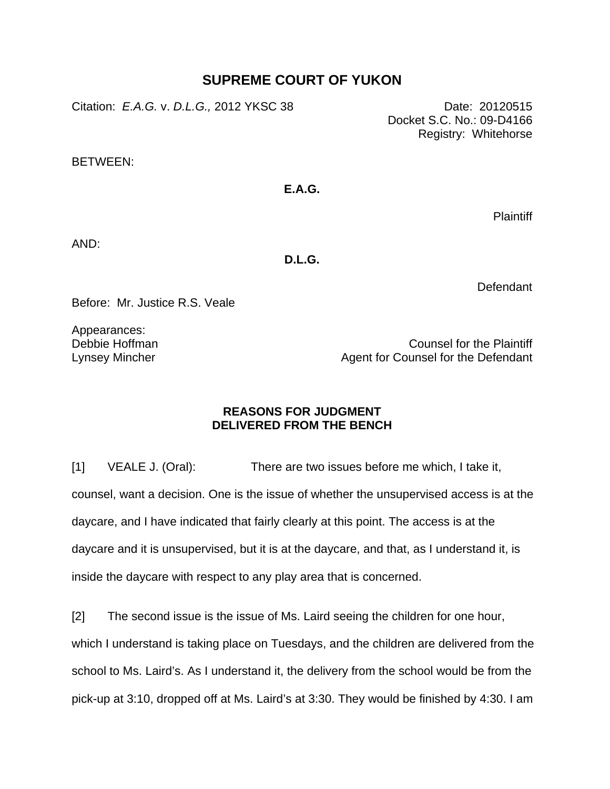## **SUPREME COURT OF YUKON**

Citation: *E.A.G.* v. *D.L.G.,* 2012 YKSC 38 Date: 20120515

Docket S.C. No.: 09-D4166 Registry: Whitehorse

BETWEEN:

## **E.A.G.**

**Plaintiff** 

AND:

**D.L.G.** 

**Defendant** 

Before: Mr. Justice R.S. Veale

Appearances: Debbie Hoffman Lynsey Mincher

Counsel for the Plaintiff Agent for Counsel for the Defendant

## **REASONS FOR JUDGMENT DELIVERED FROM THE BENCH**

[1] VEALE J. (Oral): There are two issues before me which, I take it, counsel, want a decision. One is the issue of whether the unsupervised access is at the daycare, and I have indicated that fairly clearly at this point. The access is at the daycare and it is unsupervised, but it is at the daycare, and that, as I understand it, is inside the daycare with respect to any play area that is concerned.

[2] The second issue is the issue of Ms. Laird seeing the children for one hour, which I understand is taking place on Tuesdays, and the children are delivered from the school to Ms. Laird's. As I understand it, the delivery from the school would be from the pick-up at 3:10, dropped off at Ms. Laird's at 3:30. They would be finished by 4:30. I am